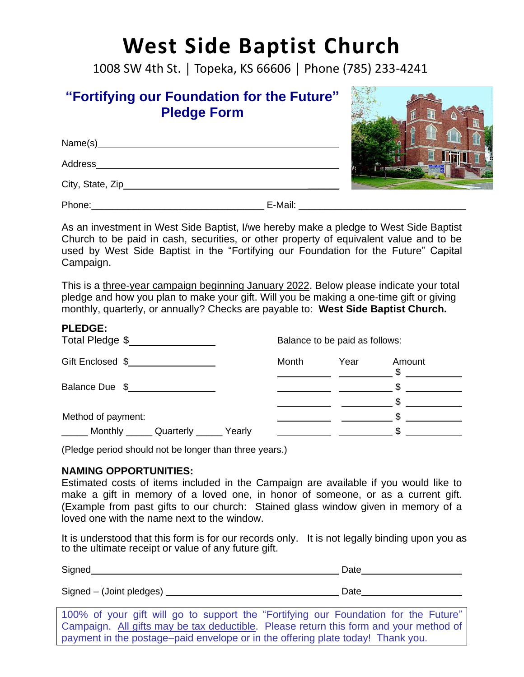# **West Side Baptist Church**

1008 SW 4th St. │ Topeka, KS 66606 │ Phone (785) 233-4241

### **"Fortifying our Foundation for the Future" Pledge Form**

| Name(s)           |         |  |
|-------------------|---------|--|
| Address           |         |  |
| City, State, Zip_ |         |  |
| Phone:            | E-Mail: |  |

As an investment in West Side Baptist, I/we hereby make a pledge to West Side Baptist Church to be paid in cash, securities, or other property of equivalent value and to be used by West Side Baptist in the "Fortifying our Foundation for the Future" Capital Campaign.

This is a three-year campaign beginning January 2022. Below please indicate your total pledge and how you plan to make your gift. Will you be making a one-time gift or giving monthly, quarterly, or annually? Checks are payable to: **West Side Baptist Church.**

| <b>PLEDGE:</b><br>Total Pledge \$ |       | Balance to be paid as follows: |             |
|-----------------------------------|-------|--------------------------------|-------------|
| Gift Enclosed \$                  | Month | Year                           | Amount<br>ፍ |
| Balance Due \$                    |       |                                |             |
|                                   |       |                                |             |
| Method of payment:                |       |                                |             |
| Monthly Quarterly<br>Yearly       |       |                                |             |

(Pledge period should not be longer than three years.)

#### **NAMING OPPORTUNITIES:**

Estimated costs of items included in the Campaign are available if you would like to make a gift in memory of a loved one, in honor of someone, or as a current gift. (Example from past gifts to our church: Stained glass window given in memory of a loved one with the name next to the window.

It is understood that this form is for our records only. It is not legally binding upon you as to the ultimate receipt or value of any future gift.

| Signed                                                                                                                                                                       | Date |
|------------------------------------------------------------------------------------------------------------------------------------------------------------------------------|------|
| Signed – (Joint pledges)                                                                                                                                                     | Date |
| 100% of your gift will go to support the "Fortifying our Foundation for the Future"<br>Campaign. All gifts may be tax deductible. Please return this form and your method of |      |
| payment in the postage-paid envelope or in the offering plate today! Thank you.                                                                                              |      |